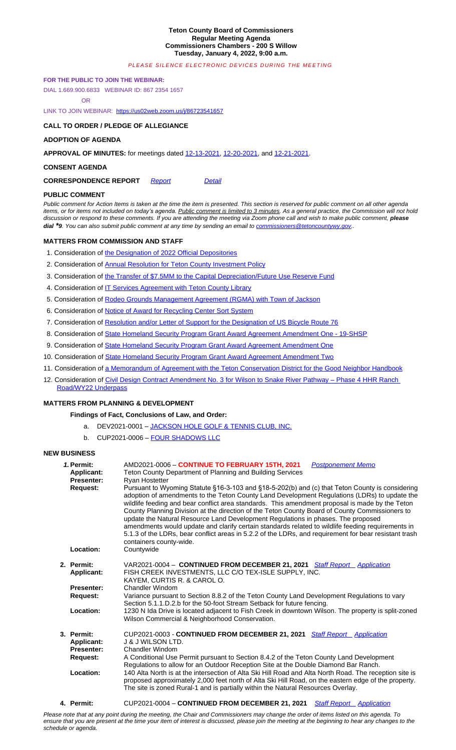### **CONSENT AGENDA**

# **CORRESPONDENCE REPORT** *Report Detail*

## **PUBLIC COMMENT**

*Public comment for Action Items is taken at the time the item is presented. This section is reserved for public comment on all other agenda*  items, or for items not included on today's agenda. Public comment is limited to 3 minutes. As a general practice, the Commission will not hold discussion or respond to these comments. If you are attending the meeting via Zoom phone call and wish to make public comment, *please dial*<sup>\*9</sup>*. You can also submit public comment at any time by sending an email to commissioners@tetoncountywy.gov..* 

## **MATTERS FROM COMMISSION AND STAFF**

- 1. Consideration of the Designation of 2022 Official Depositories
- 2. Consideration of Annual Resolution for Teton County Investment Policy
- 3. Consideration of the [Transfer of \\$7.5MM to the Capital De](https://us02web.zoom.us/j/86723541657)preciation/Future Use Reserve Fund
- 4. Consideration of IT Services Agreement with Teton County Library
- 5. Consideration of Rodeo Grounds Management Agreement (RGMA) with Town of Jackson
- 6. Consideration of Notice of Award for Recycli[ng Center S](https://tetoncountywy.gov/DocumentCenter/View/20748/12-13-21-V-Mins)[ort System](https://tetoncountywy.gov/DocumentCenter/View/20749/12-20-21-V-Mins)
- 7. Consideration of Resolution and/or Letter of Support for the Designation of US Bicycle Route 76
- 8. Consideration of State Homeland Security Program Grant Award Agreement Amendment One 19-SHSP
- 9. Consideration of State Homelan[d Secur](https://tetoncountywy.gov/DocumentCenter/View/20757/0104-CorrespondenceReport)ity Progra[m Gran](https://tetoncountywy.gov/DocumentCenter/View/20756/0104-Correspondence-Detail)t Award Agreement Amendment One
- 10. Consideration of State Homeland Security Program Grant Award Agreement Amendment Two
- 11. Consideration of a Memorandum of Agreement with the Teton Conservation District for the Good Neighbor Handbook
- 12. Consideration of Civil Design Contract Amendment No. 3 for Wilson [to Snake River Pathway](mailto:commissioners@tetoncountywy.gov)  Pha[se](mailto:commissioners@tetoncountywy.gov) 4 HHR Ranch Road/WY22 Underpass

## **[MATTERS FROM PLANNING &](mailto:commissioners@tetoncountywy.gov) [DEVELOPME](mailto:commissioners@tetoncountywy.gov)NT**

## **[Findings o](mailto:commissioners@tetoncountywy.gov)[f Fact, Conclusions of Law, and Order:](https://tetoncountywy.gov/DocumentCenter/View/20758/01041-OFFICIAL-DEPOSITORIES2022)**

- a. [DE](https://tetoncountywy.gov/DocumentCenter/View/20758/01041-OFFICIAL-DEPOSITORIES2022)[V2021-00](https://tetoncountywy.gov/DocumentCenter/View/20759/01042-Investment-Policy-2022)01 [JACKSON HOLE GOLF & TENNIS CL](https://tetoncountywy.gov/DocumentCenter/View/20759/01042-Investment-Policy-2022)UB, INC.
- b. C[UP2021-0006](https://tetoncountywy.gov/DocumentCenter/View/20760/01043-Capital-Depriciation-Future-Use-Reserve-Fund)  [FOUR SHADOWS LLC](https://tetoncountywy.gov/DocumentCenter/View/20760/01043-Capital-Depriciation-Future-Use-Reserve-Fund)

## **[NEW](https://tetoncountywy.gov/DocumentCenter/View/20761/01044-IT-Services-Agreement-with-Teton-County-Library) BUSINESS**

| 1. Permit:<br><b>Applicant:</b><br><b>Presenter:</b><br><b>Request:</b><br>Location: | AMD2021-0006 - CONTINUE TO FEBRUARY 15TH, 2021<br><b>Postponement Memo</b><br>Teton County Department of Planning and Building Services<br><b>Ryan Hostetter</b><br>Pursuant to Wyoming Statute §16-3-103 and §18-5-202(b) and (c) that Teton County is considering<br>adoption of amendments to the Teton County Land Development Regulations (LDRs) to update the<br>wildlife feeding and bear conflict area standards. This amendment proposal is made by the Teton<br>County Planning Division at the direction of the Teton County Board of County Commissioners to<br>update the Natural Resource Land Development Regulations in phases. The proposed<br>amendments would update and clarify certain standards related to wildlife feeding requirements in<br>5.1.3 of the LDRs, bear conflict areas in 5.2.2 of the LDRs, and requirement for bear resistant trash<br>containers county-wide.<br>Countywide |
|--------------------------------------------------------------------------------------|---------------------------------------------------------------------------------------------------------------------------------------------------------------------------------------------------------------------------------------------------------------------------------------------------------------------------------------------------------------------------------------------------------------------------------------------------------------------------------------------------------------------------------------------------------------------------------------------------------------------------------------------------------------------------------------------------------------------------------------------------------------------------------------------------------------------------------------------------------------------------------------------------------------------|
| 2. Permit:<br>Applicant:<br><b>Presenter:</b><br>Request:<br>Location:               | VAR2021-0004 - CONTINUED FROM DECEMBER 21, 2021 Staff Report Application<br>FISH CREEK INVESTMENTS, LLC C/O TEX-ISLE SUPPLY, INC.<br>KAYEM, CURTIS R. & CAROL O.<br>Chandler Windom<br>Variance pursuant to Section 8.8.2 of the Teton County Land Development Regulations to vary<br>Section 5.1.1.D.2.b for the 50-foot Stream Setback for future fencing.<br>1230 N Ida Drive is located adjacent to Fish Creek in downtown Wilson. The property is split-zoned<br>Wilson Commercial & Neighborhood Conservation.                                                                                                                                                                                                                                                                                                                                                                                                |
| 3. Permit:<br><b>Applicant:</b><br><b>Presenter:</b><br><b>Request:</b><br>Location: | CUP2021-0003 - CONTINUED FROM DECEMBER 21, 2021 Staff Report Application<br><b>J &amp; J WILSON LTD.</b><br>Chandler Windom<br>A Conditional Use Permit pursuant to Section 8.4.2 of the Teton County Land Development<br>Regulations to allow for an Outdoor Reception Site at the Double Diamond Bar Ranch.<br>140 Alta North is at the intersection of Alta Ski Hill Road and Alta North Road. The reception site is<br>proposed approximately 2,000 feet north of Alta Ski Hill Road, on the eastern edge of the property.<br>The site is zoned Rural-1 and is partially within the Natural Resources Overlay.                                                                                                                                                                                                                                                                                                  |

## **4. Permit:** CUP2021-0004 – **CONTINUED FROM DECEMBER 21, 2021** *Staff Report Application*

*Please note that at any point during the meeting, the Chair and Commissioners may change the order of items listed on this agenda. To ensure that you are present at the time your item of interest is discussed, please join the meeting at th[e beginning to](https://tetoncountywy.gov/DocumentCenter/View/20775/VAR2021-0004-Packet-BCC1422) h[e](https://tetoncountywy.gov/DocumentCenter/View/20775/VAR2021-0004-Packet-BCC1422)[ar any chang](https://developmentrecords.tetoncountywy.gov/Portal/Planning/Status?planningId=20830)es to the schedule or agenda.*